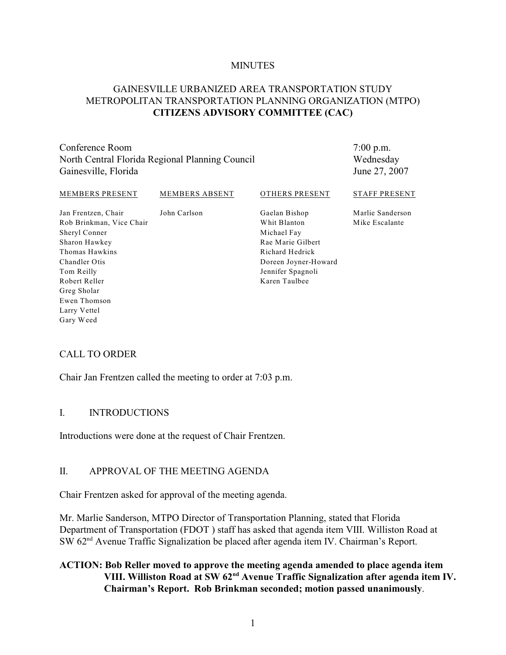#### **MINUTES**

### GAINESVILLE URBANIZED AREA TRANSPORTATION STUDY METROPOLITAN TRANSPORTATION PLANNING ORGANIZATION (MTPO) **CITIZENS ADVISORY COMMITTEE (CAC)**

Conference Room North Central Florida Regional Planning Council Gainesville, Florida

7:00 p.m. Wednesday June 27, 2007

| MEMBERS PRESENT                                 | <b>MEMBERS ABSENT</b> | OTHERS PRESENT                | <b>STAFF PRESENT</b>               |
|-------------------------------------------------|-----------------------|-------------------------------|------------------------------------|
| Jan Frentzen, Chair<br>Rob Brinkman, Vice Chair | John Carlson          | Gaelan Bishop<br>Whit Blanton | Marlie Sanderson<br>Mike Escalante |
| Sheryl Conner                                   |                       | Michael Fay                   |                                    |
| Sharon Hawkey                                   |                       | Rae Marie Gilbert             |                                    |
| Thomas Hawkins                                  |                       | Richard Hedrick               |                                    |
| Chandler Otis                                   |                       | Doreen Joyner-Howard          |                                    |
| Tom Reilly                                      |                       | Jennifer Spagnoli             |                                    |
| Robert Reller                                   |                       | Karen Taulbee                 |                                    |
| Greg Sholar                                     |                       |                               |                                    |

#### CALL TO ORDER

Ewen Thomson Larry Vettel Gary Weed

Chair Jan Frentzen called the meeting to order at 7:03 p.m.

#### I. INTRODUCTIONS

Introductions were done at the request of Chair Frentzen.

#### II. APPROVAL OF THE MEETING AGENDA

Chair Frentzen asked for approval of the meeting agenda.

Mr. Marlie Sanderson, MTPO Director of Transportation Planning, stated that Florida Department of Transportation (FDOT ) staff has asked that agenda item VIII. Williston Road at SW  $62<sup>nd</sup>$  Avenue Traffic Signalization be placed after agenda item IV. Chairman's Report.

### **ACTION: Bob Reller moved to approve the meeting agenda amended to place agenda item VIII. Williston Road at SW 62<sup>nd</sup> Avenue Traffic Signalization after agenda item IV. Chairman's Report. Rob Brinkman seconded; motion passed unanimously**.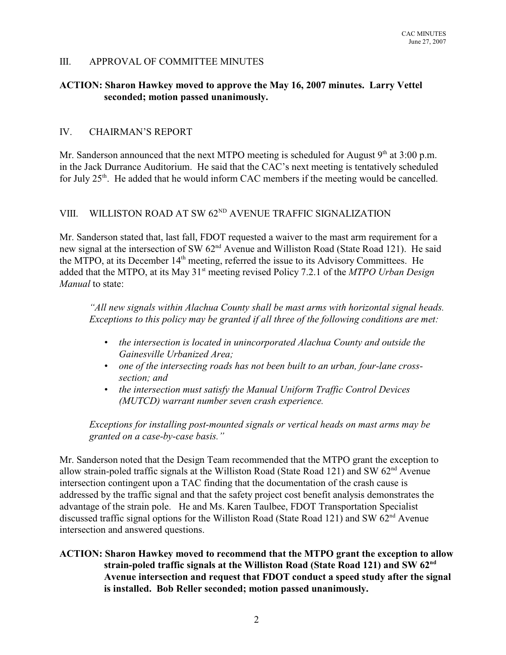#### III. APPROVAL OF COMMITTEE MINUTES

#### **ACTION: Sharon Hawkey moved to approve the May 16, 2007 minutes. Larry Vettel seconded; motion passed unanimously.**

### IV. CHAIRMAN'S REPORT

Mr. Sanderson announced that the next MTPO meeting is scheduled for August  $9<sup>th</sup>$  at 3:00 p.m. in the Jack Durrance Auditorium. He said that the CAC's next meeting is tentatively scheduled for July  $25<sup>th</sup>$ . He added that he would inform CAC members if the meeting would be cancelled.

# VIII. WILLISTON ROAD AT SW  $62^{ND}$  AVENUE TRAFFIC SIGNALIZATION

Mr. Sanderson stated that, last fall, FDOT requested a waiver to the mast arm requirement for a new signal at the intersection of SW 62<sup>nd</sup> Avenue and Williston Road (State Road 121). He said the MTPO, at its December 14<sup>th</sup> meeting, referred the issue to its Advisory Committees. He added that the MTPO, at its May 31<sup>st</sup> meeting revised Policy 7.2.1 of the *MTPO Urban Design Manual* to state:

*"All new signals within Alachua County shall be mast arms with horizontal signal heads. Exceptions to this policy may be granted if all three of the following conditions are met:*

- *• the intersection is located in unincorporated Alachua County and outside the Gainesville Urbanized Area;*
- *• one of the intersecting roads has not been built to an urban, four-lane crosssection; and*
- *• the intersection must satisfy the Manual Uniform Traffic Control Devices (MUTCD) warrant number seven crash experience.*

*Exceptions for installing post-mounted signals or vertical heads on mast arms may be granted on a case-by-case basis."*

Mr. Sanderson noted that the Design Team recommended that the MTPO grant the exception to allow strain-poled traffic signals at the Williston Road (State Road 121) and SW  $62<sup>nd</sup>$  Avenue intersection contingent upon a TAC finding that the documentation of the crash cause is addressed by the traffic signal and that the safety project cost benefit analysis demonstrates the advantage of the strain pole. He and Ms. Karen Taulbee, FDOT Transportation Specialist discussed traffic signal options for the Williston Road (State Road 121) and SW  $62<sup>nd</sup>$  Avenue intersection and answered questions.

### **ACTION: Sharon Hawkey moved to recommend that the MTPO grant the exception to allow strain-poled traffic signals at the Williston Road (State Road 121) and SW 62nd Avenue intersection and request that FDOT conduct a speed study after the signal is installed. Bob Reller seconded; motion passed unanimously.**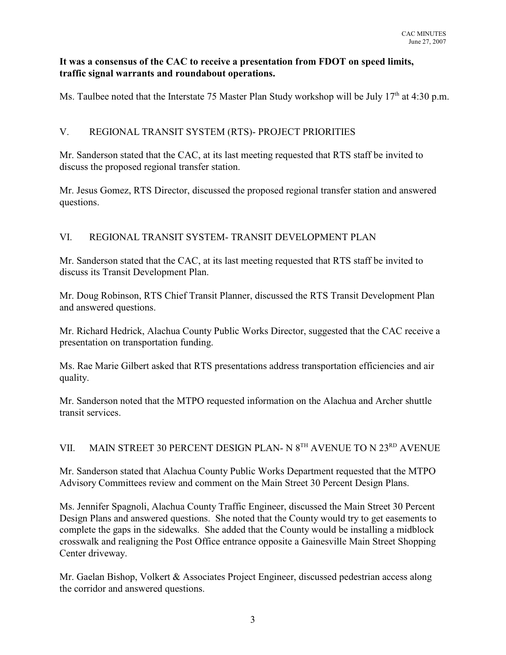### **It was a consensus of the CAC to receive a presentation from FDOT on speed limits, traffic signal warrants and roundabout operations.**

Ms. Taulbee noted that the Interstate 75 Master Plan Study workshop will be July  $17<sup>th</sup>$  at 4:30 p.m.

### V. REGIONAL TRANSIT SYSTEM (RTS)- PROJECT PRIORITIES

Mr. Sanderson stated that the CAC, at its last meeting requested that RTS staff be invited to discuss the proposed regional transfer station.

Mr. Jesus Gomez, RTS Director, discussed the proposed regional transfer station and answered questions.

### VI. REGIONAL TRANSIT SYSTEM- TRANSIT DEVELOPMENT PLAN

Mr. Sanderson stated that the CAC, at its last meeting requested that RTS staff be invited to discuss its Transit Development Plan.

Mr. Doug Robinson, RTS Chief Transit Planner, discussed the RTS Transit Development Plan and answered questions.

Mr. Richard Hedrick, Alachua County Public Works Director, suggested that the CAC receive a presentation on transportation funding.

Ms. Rae Marie Gilbert asked that RTS presentations address transportation efficiencies and air quality.

Mr. Sanderson noted that the MTPO requested information on the Alachua and Archer shuttle transit services.

## VII. MAIN STREET 30 PERCENT DESIGN PLAN- N  $8^{TH}$  AVENUE TO N  $23^{RD}$  AVENUE

Mr. Sanderson stated that Alachua County Public Works Department requested that the MTPO Advisory Committees review and comment on the Main Street 30 Percent Design Plans.

Ms. Jennifer Spagnoli, Alachua County Traffic Engineer, discussed the Main Street 30 Percent Design Plans and answered questions. She noted that the County would try to get easements to complete the gaps in the sidewalks. She added that the County would be installing a midblock crosswalk and realigning the Post Office entrance opposite a Gainesville Main Street Shopping Center driveway.

Mr. Gaelan Bishop, Volkert & Associates Project Engineer, discussed pedestrian access along the corridor and answered questions.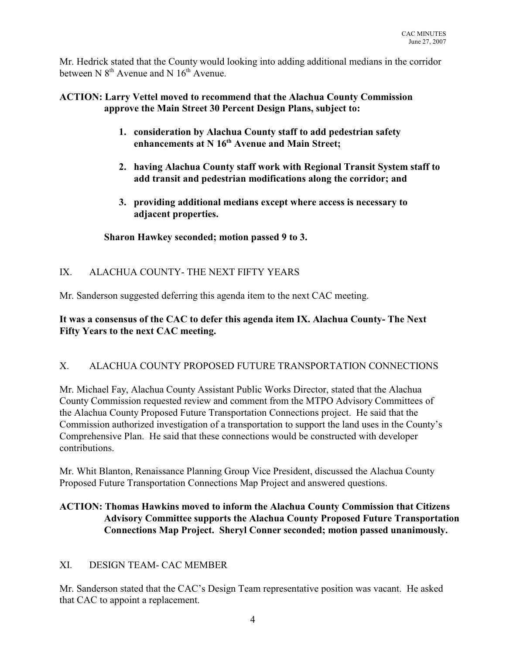Mr. Hedrick stated that the County would looking into adding additional medians in the corridor between N  $8<sup>th</sup>$  Avenue and N  $16<sup>th</sup>$  Avenue.

### **ACTION: Larry Vettel moved to recommend that the Alachua County Commission approve the Main Street 30 Percent Design Plans, subject to:**

- **1. consideration by Alachua County staff to add pedestrian safety** enhancements at N 16<sup>th</sup> Avenue and Main Street:
- **2. having Alachua County staff work with Regional Transit System staff to add transit and pedestrian modifications along the corridor; and**
- **3. providing additional medians except where access is necessary to adjacent properties.**

### **Sharon Hawkey seconded; motion passed 9 to 3.**

### IX. ALACHUA COUNTY- THE NEXT FIFTY YEARS

Mr. Sanderson suggested deferring this agenda item to the next CAC meeting.

### **It was a consensus of the CAC to defer this agenda item IX. Alachua County- The Next Fifty Years to the next CAC meeting.**

## X. ALACHUA COUNTY PROPOSED FUTURE TRANSPORTATION CONNECTIONS

Mr. Michael Fay, Alachua County Assistant Public Works Director, stated that the Alachua County Commission requested review and comment from the MTPO Advisory Committees of the Alachua County Proposed Future Transportation Connections project. He said that the Commission authorized investigation of a transportation to support the land uses in the County's Comprehensive Plan. He said that these connections would be constructed with developer contributions.

Mr. Whit Blanton, Renaissance Planning Group Vice President, discussed the Alachua County Proposed Future Transportation Connections Map Project and answered questions.

## **ACTION: Thomas Hawkins moved to inform the Alachua County Commission that Citizens Advisory Committee supports the Alachua County Proposed Future Transportation Connections Map Project. Sheryl Conner seconded; motion passed unanimously.**

## XI. DESIGN TEAM- CAC MEMBER

Mr. Sanderson stated that the CAC's Design Team representative position was vacant. He asked that CAC to appoint a replacement.